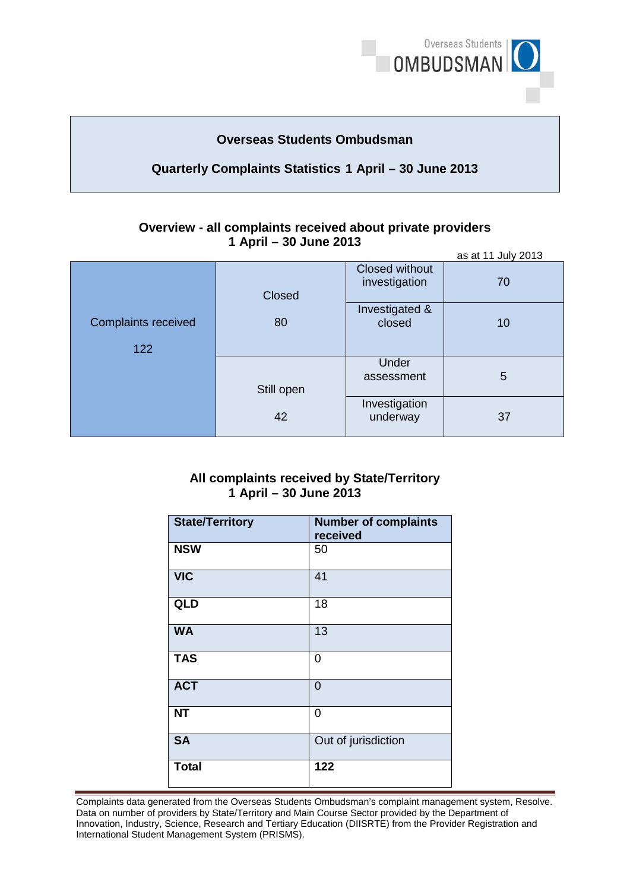

# **Overseas Students Ombudsman**

# **Quarterly Complaints Statistics 1 April – 30 June 2013**

#### **Overview - all complaints received about private providers 1 April – 30 June 2013** as at 11 July 2013

|                                   |                  |                                        | as at II July 2015 |
|-----------------------------------|------------------|----------------------------------------|--------------------|
| <b>Complaints received</b><br>122 | Closed<br>80     | <b>Closed without</b><br>investigation | 70                 |
|                                   |                  | Investigated &<br>closed               | 10                 |
|                                   | Still open<br>42 | Under<br>assessment                    | 5                  |
|                                   |                  | Investigation<br>underway              | 37                 |

### **All complaints received by State/Territory 1 April – 30 June 2013**

| <b>State/Territory</b> | <b>Number of complaints</b><br>received |
|------------------------|-----------------------------------------|
| <b>NSW</b>             | 50                                      |
| <b>VIC</b>             | 41                                      |
| QLD                    | 18                                      |
| <b>WA</b>              | 13                                      |
| <b>TAS</b>             | 0                                       |
| <b>ACT</b>             | $\Omega$                                |
| <b>NT</b>              | 0                                       |
| <b>SA</b>              | Out of jurisdiction                     |
| <b>Total</b>           | 122                                     |

Complaints data generated from the Overseas Students Ombudsman's complaint management system, Resolve. Data on number of providers by State/Territory and Main Course Sector provided by the Department of Innovation, Industry, Science, Research and Tertiary Education (DIISRTE) from the Provider Registration and International Student Management System (PRISMS).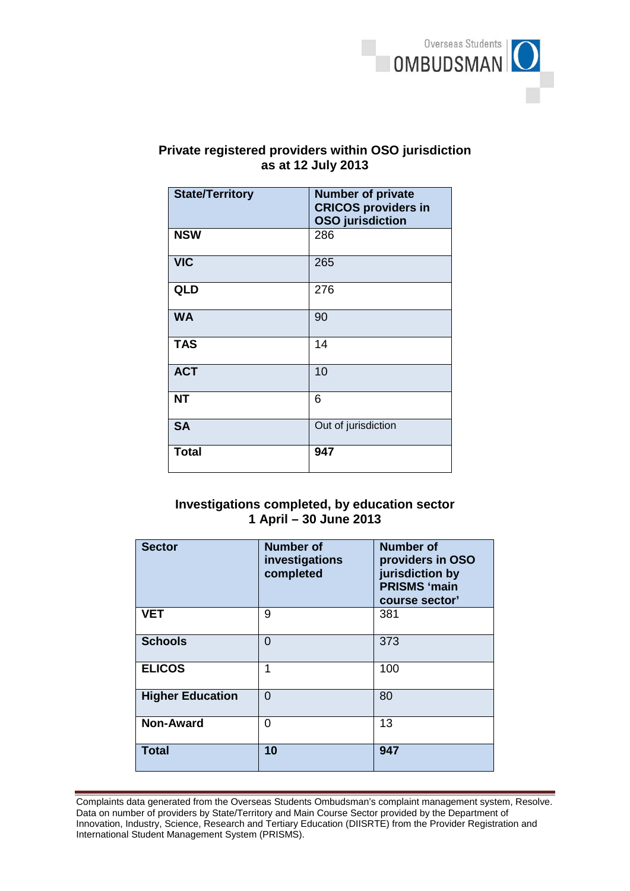

# **as at 12 July 2013 Private registered providers within OSO jurisdiction**

| <b>State/Territory</b> | <b>Number of private</b><br><b>CRICOS providers in</b><br><b>OSO</b> jurisdiction |
|------------------------|-----------------------------------------------------------------------------------|
| <b>NSW</b>             | 286                                                                               |
| <b>VIC</b>             | 265                                                                               |
| <b>QLD</b>             | 276                                                                               |
| <b>WA</b>              | 90                                                                                |
| <b>TAS</b>             | 14                                                                                |
| <b>ACT</b>             | 10                                                                                |
| <b>NT</b>              | 6                                                                                 |
| <b>SA</b>              | Out of jurisdiction                                                               |
| <b>Total</b>           | 947                                                                               |

# **Investigations completed, by education sector 1 April – 30 June 2013**

| <b>Sector</b>           | <b>Number of</b><br>investigations<br>completed | <b>Number of</b><br>providers in OSO<br>jurisdiction by<br><b>PRISMS 'main</b><br>course sector' |
|-------------------------|-------------------------------------------------|--------------------------------------------------------------------------------------------------|
| <b>VET</b>              | 9                                               | 381                                                                                              |
| <b>Schools</b>          | $\Omega$                                        | 373                                                                                              |
| <b>ELICOS</b>           | 1                                               | 100                                                                                              |
| <b>Higher Education</b> | $\Omega$                                        | 80                                                                                               |
| <b>Non-Award</b>        | $\Omega$                                        | 13                                                                                               |
| <b>Total</b>            | 10                                              | 947                                                                                              |

Complaints data generated from the Overseas Students Ombudsman's complaint management system, Resolve. Data on number of providers by State/Territory and Main Course Sector provided by the Department of Innovation, Industry, Science, Research and Tertiary Education (DIISRTE) from the Provider Registration and International Student Management System (PRISMS).